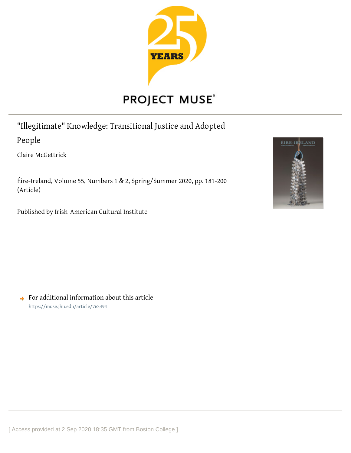

# **PROJECT MUSE®**

"Illegitimate" Knowledge: Transitional Justice and Adopted

People

Claire McGettrick

Éire-Ireland, Volume 55, Numbers 1 & 2, Spring/Summer 2020, pp. 181-200 (Article)

Published by Irish-American Cultural Institute



 $\rightarrow$  For additional information about this article <https://muse.jhu.edu/article/763494>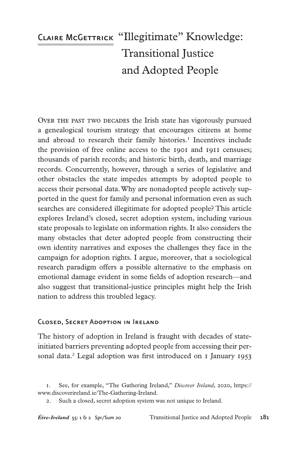# CLAIRE McGETTRICK "Illegitimate" Knowledge: Transitional Justice and Adopted People

Over the past two decades the Irish state has vigorously pursued a genealogical tourism strategy that encourages citizens at home and abroad to research their family histories.<sup>1</sup> Incentives include the provision of free online access to the 1901 and 1911 censuses; thousands of parish records; and historic birth, death, and marriage records. Concurrently, however, through a series of legislative and other obstacles the state impedes attempts by adopted people to access their personal data. Why are nonadopted people actively supported in the quest for family and personal information even as such searches are considered illegitimate for adopted people? This article explores Ireland's closed, secret adoption system, including various state proposals to legislate on information rights. It also considers the many obstacles that deter adopted people from constructing their own identity narratives and exposes the challenges they face in the campaign for adoption rights. I argue, moreover, that a sociological research paradigm offers a possible alternative to the emphasis on emotional damage evident in some fields of adoption research—and also suggest that transitional-justice principles might help the Irish nation to address this troubled legacy.

# Closed, Secret Adoption in Ireland

The history of adoption in Ireland is fraught with decades of stateinitiated barriers preventing adopted people from accessing their personal data.<sup>2</sup> Legal adoption was first introduced on 1 January 1953

<sup>.</sup> See, for example, "The Gathering Ireland," *Discover Ireland*, 2020, https:// www.discoverireland.ie/The-Gathering-Ireland.

<sup>.</sup> Such a closed, secret adoption system was not unique to Ireland.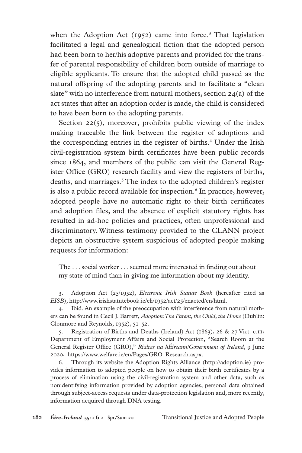when the Adoption Act (1952) came into force.<sup>3</sup> That legislation facilitated a legal and genealogical fiction that the adopted person had been born to her/his adoptive parents and provided for the transfer of parental responsibility of children born outside of marriage to eligible applicants. To ensure that the adopted child passed as the natural offspring of the adopting parents and to facilitate a "clean slate" with no interference from natural mothers, section  $24(a)$  of the act states that after an adoption order is made, the child is considered to have been born to the adopting parents.

Section  $22(5)$ , moreover, prohibits public viewing of the index making traceable the link between the register of adoptions and the corresponding entries in the register of births.<sup>4</sup> Under the Irish civil-registration system birth certificates have been public records since 1864, and members of the public can visit the General Register Office (GRO) research facility and view the registers of births, deaths, and marriages.<sup>5</sup> The index to the adopted children's register is also a public record available for inspection.<sup>6</sup> In practice, however, adopted people have no automatic right to their birth certificates and adoption files, and the absence of explicit statutory rights has resulted in ad-hoc policies and practices, often unprofessional and discriminatory. Witness testimony provided to the CLANN project depicts an obstructive system suspicious of adopted people making requests for information:

The . . . social worker . . . seemed more interested in finding out about my state of mind than in giving me information about my identity.

. Adoption Act (25/1952), *Electronic Irish Statute Book* (hereafter cited as *EISB*), http://www.irishstatutebook.ie/eli/1952/act/25/enacted/en/html.

. Ibid. An example of the preoccupation with interference from natural mothers can be found in Cecil J. Barrett, *Adoption: The Parent, the Child, the Home* (Dublin: Clonmore and Reynolds, 1952), 51–52.

. Registration of Births and Deaths (Ireland) Act (1863), 26 & 27 Vict. c.11; Department of Employment Affairs and Social Protection, "Search Room at the General Register Office (GRO)," *Rialtas na hÉireann/Government of Ireland*, 9 June 2020, https://www.welfare.ie/en/Pages/GRO\_Research.aspx.

. Through its website the Adoption Rights Alliance (http://adoption.ie) provides information to adopted people on how to obtain their birth certificates by a process of elimination using the civil-registration system and other data, such as nonidentifying information provided by adoption agencies, personal data obtained through subject-access requests under data-protection legislation and, more recently, information acquired through DNA testing.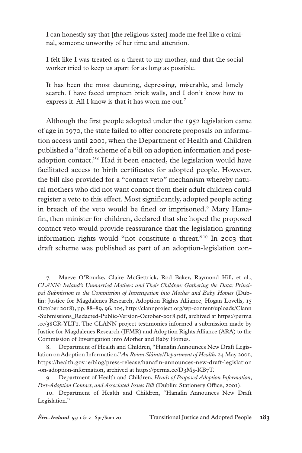I can honestly say that [the religious sister] made me feel like a criminal, someone unworthy of her time and attention.

I felt like I was treated as a threat to my mother, and that the social worker tried to keep us apart for as long as possible.

It has been the most daunting, depressing, miserable, and lonely search. I have faced umpteen brick walls, and I don't know how to express it. All I know is that it has worn me out.<sup>7</sup>

Although the first people adopted under the 1952 legislation came of age in 1970, the state failed to offer concrete proposals on information access until 2001, when the Department of Health and Children published a "draft scheme of a bill on adoption information and postadoption contact."8 Had it been enacted, the legislation would have facilitated access to birth certificates for adopted people. However, the bill also provided for a "contact veto" mechanism whereby natural mothers who did not want contact from their adult children could register a veto to this effect. Most significantly, adopted people acting in breach of the veto would be fined or imprisoned.<sup>9</sup> Mary Hanafin, then minister for children, declared that she hoped the proposed contact veto would provide reassurance that the legislation granting information rights would "not constitute a threat."10 In 2003 that draft scheme was published as part of an adoption-legislation con-

. Maeve O'Rourke, Claire McGettrick, Rod Baker, Raymond Hill, et al., *CLANN: Ireland's Unmarried Mothers and Their Children: Gathering the Data: Principal Submission to the Commission of Investigation into Mother and Baby Homes* (Dublin: Justice for Magdalenes Research, Adoption Rights Alliance, Hogan Lovells, 15 October 2018), pp. 88–89, 96, 105, http://clannproject.org/wp-content/uploads/Clann -Submissions\_Redacted-Public-Version-October-2018.pdf, archived at https://perma .cc/38CR-YLT2. The CLANN project testimonies informed a submission made by Justice for Magdalenes Research (JFMR) and Adoption Rights Alliance (ARA) to the Commission of Investigation into Mother and Baby Homes.

. Department of Health and Children, "Hanafin Announces New Draft Legislation on Adoption Information,"*An Roinn Sláinte/Department of Health*, 24 May 2001, https://health.gov.ie/blog/press-release/hanafin-announces-new-draft-legislation -on-adoption-information, archived at https://perma.cc/D3M5-KB7T.

. Department of Health and Children, *Heads of Proposed Adoption Information, Post-Adoption Contact, and Associated Issues Bill* (Dublin: Stationery Office, 2001).

. Department of Health and Children, "Hanafin Announces New Draft Legislation."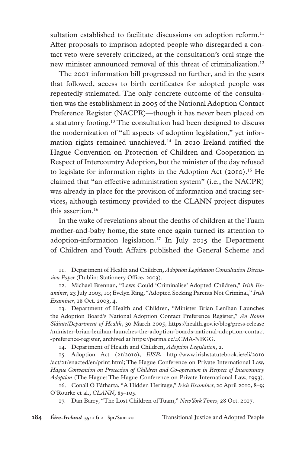sultation established to facilitate discussions on adoption reform.<sup>11</sup> After proposals to imprison adopted people who disregarded a contact veto were severely criticized, at the consultation's oral stage the new minister announced removal of this threat of criminalization.<sup>12</sup>

The 2001 information bill progressed no further, and in the years that followed, access to birth certificates for adopted people was repeatedly stalemated. The only concrete outcome of the consultation was the establishment in 2005 of the National Adoption Contact Preference Register (NACPR)—though it has never been placed on a statutory footing.13 The consultation had been designed to discuss the modernization of "all aspects of adoption legislation," yet information rights remained unachieved.14 In 2010 Ireland ratified the Hague Convention on Protection of Children and Cooperation in Respect of Intercountry Adoption, but the minister of the day refused to legislate for information rights in the Adoption Act  $(2010).$ <sup>15</sup> He claimed that "an effective administration system" (i.e., the NACPR) was already in place for the provision of information and tracing services, although testimony provided to the CLANN project disputes this assertion.16

In the wake of revelations about the deaths of children at the Tuam mother-and-baby home, the state once again turned its attention to adoption-information legislation.17 In July 2015 the Department of Children and Youth Affairs published the General Scheme and

. Department of Health and Children, *Adoption Legislation Consultation Discussion Paper* (Dublin: Stationery Office, 2003).

. Michael Brennan, "Laws Could 'Criminalise' Adopted Children," *Irish Examiner*, 23 July 2003, 10; Evelyn Ring, "Adopted Seeking Parents Not Criminal," *Irish Examiner*, 18 Oct. 2003, 4.

. Department of Health and Children, "Minister Brian Lenihan Launches the Adoption Board's National Adoption Contact Preference Register," *An Roinn Sláinte/Department of Health*, 30 March 2005, https://health.gov.ie/blog/press-release /minister-brian-lenihan-launches-the-adoption-boards-national-adoption-contact -preference-register, archived at https://perma.cc/4CMA-NBGG.

. Department of Health and Children, *Adoption Legislation*, 2.

. Adoption Act (21/2010), *EISB*, http://www.irishstatutebook.ie/eli/2010 /act/21/enacted/en/print.html; The Hague Conference on Private International Law, *Hague Convention on Protection of Children and Co-operation in Respect of Intercountry Adoption* (The Hague: The Hague Conference on Private International Law, 1993).

. Conall Ó Fátharta, "A Hidden Heritage," *Irish Examiner,* 20 April 2010, 8–9; O'Rourke et al., *CLANN*, 85-105.

. Dan Barry, "The Lost Children of Tuam," *New York Times*, 28 Oct. 2017.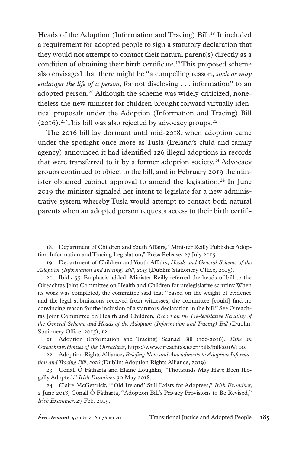Heads of the Adoption (Information and Tracing) Bill.<sup>18</sup> It included a requirement for adopted people to sign a statutory declaration that they would not attempt to contact their natural parent(s) directly as a condition of obtaining their birth certificate.<sup>19</sup> This proposed scheme also envisaged that there might be "a compelling reason, *such as may endanger the life of a person*, for not disclosing . . . information" to an adopted person.<sup>20</sup> Although the scheme was widely criticized, nonetheless the new minister for children brought forward virtually identical proposals under the Adoption (Information and Tracing) Bill (2016).21 This bill was also rejected by advocacy groups*.* 22

The 2016 bill lay dormant until mid-2018, when adoption came under the spotlight once more as Tusla (Ireland's child and family agency) announced it had identified 126 illegal adoptions in records that were transferred to it by a former adoption society.<sup>23</sup> Advocacy groups continued to object to the bill, and in February 2019 the minister obtained cabinet approval to amend the legislation.<sup>24</sup> In June 2019 the minister signaled her intent to legislate for a new administrative system whereby Tusla would attempt to contact both natural parents when an adopted person requests access to their birth certifi-

. Department of Children and Youth Affairs, "Minister Reilly Publishes Adoption Information and Tracing Legislation," Press Release, 27 July 2015.

. Department of Children and Youth Affairs, *Heads and General Scheme of the Adoption (Information and Tracing) Bill, 2015* (Dublin: Stationery Office, 2015).

. Ibid., 55. Emphasis added. Minister Reilly referred the heads of bill to the Oireachtas Joint Committee on Health and Children for prelegislative scrutiny. When its work was completed, the committee said that "based on the weight of evidence and the legal submissions received from witnesses, the committee [could] find no convincing reason for the inclusion of a statutory declaration in the bill." See Oireachtas Joint Committee on Health and Children, *Report on the Pre-legislative Scrutiny of the General Scheme and Heads of the Adoption (Information and Tracing) Bill* (Dublin: Stationery Office, 2015), 12.

. Adoption (Information and Tracing) Seanad Bill (100/2016), *Tithe an Oireachtais/Houses of the Oireachtas*, https://www.oireachtas.ie/en/bills/bill/2016/100.

. Adoption Rights Alliance, *Briefing Note and Amendments to Adoption Information and Tracing Bill, 2016* (Dublin: Adoption Rights Alliance, 2019).

. Conall Ó Fátharta and Elaine Loughlin, "Thousands May Have Been Illegally Adopted," *Irish Examiner,* 30 May 2018.

. Claire McGettrick, "'Old Ireland' Still Exists for Adoptees," *Irish Examiner,*  2 June 2018; Conall Ó Fátharta, "Adoption Bill's Privacy Provisions to Be Revised," *Irish Examiner,* 27 Feb. 2019.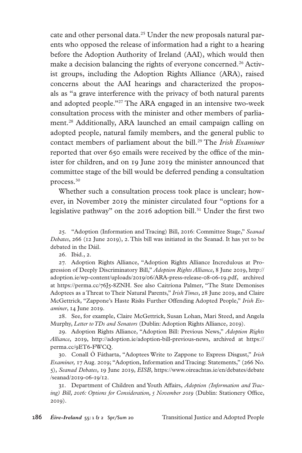cate and other personal data.<sup>25</sup> Under the new proposals natural parents who opposed the release of information had a right to a hearing before the Adoption Authority of Ireland (AAI), which would then make a decision balancing the rights of everyone concerned.<sup>26</sup> Activist groups, including the Adoption Rights Alliance (ARA), raised concerns about the AAI hearings and characterized the proposals as "a grave interference with the privacy of both natural parents and adopted people."27 The ARA engaged in an intensive two-week consultation process with the minister and other members of parliament.28 Additionally, ARA launched an email campaign calling on adopted people, natural family members, and the general public to contact members of parliament about the bill.<sup>29</sup> The *Irish Examiner* reported that over 650 emails were received by the office of the minister for children, and on 19 June 2019 the minister announced that committee stage of the bill would be deferred pending a consultation process.30

Whether such a consultation process took place is unclear; however, in November 2019 the minister circulated four "options for a legislative pathway" on the 2016 adoption bill.<sup>31</sup> Under the first two

. "Adoption (Information and Tracing) Bill, 2016: Committee Stage," *Seanad Debates*, 266 (12 June 2019), 2. This bill was initiated in the Seanad. It has yet to be debated in the Dáil.

26. Ibid., 2.

. Adoption Rights Alliance, "Adoption Rights Alliance Incredulous at Progression of Deeply Discriminatory Bill," *Adoption Rights Alliance*, 8 June 2019, http:// adoption.ie/wp-content/uploads/2019/06/ARA-press-release-08-06-19.pdf, archived at https://perma.cc/76J5-8ZNH. See also Caitríona Palmer, "The State Demonises Adoptees as a Threat to Their Natural Parents," *Irish Times*, 28 June 2019, and Claire McGettrick, "Zappone's Haste Risks Further Offending Adopted People," *Irish Examiner*, 14 June 2019.

. See, for example, Claire McGettrick, Susan Lohan, Mari Steed, and Angela Murphy, *Letter to TDs and Senators* (Dublin: Adoption Rights Alliance, 2019).

. Adoption Rights Alliance, "Adoption Bill: Previous News," *Adoption Rights Alliance*, 2019, http://adoption.ie/adoption-bill-previous-news, archived at https:// perma.cc/9ET6-FWCQ.

. Conall Ó Fátharta, "Adoptees Write to Zappone to Express Disgust," *Irish Examiner,* 17 Aug. 2019; "Adoption, Information and Tracing: Statements," (266 No. 5), *Seanad Debates*, 19 June 2019, *EISB*, https://www.oireachtas.ie/en/debates/debate /seanad/2019-06-19/12.

. Department of Children and Youth Affairs, *Adoption (Information and Tracing) Bill, 2016: Options for Consideration, 5 November 2019* (Dublin: Stationery Office, 2019).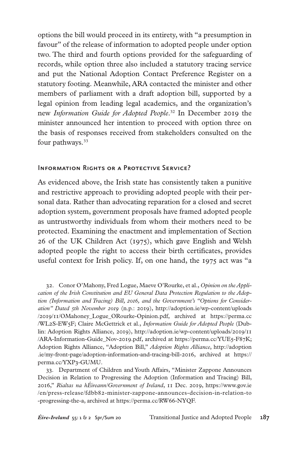options the bill would proceed in its entirety, with "a presumption in favour" of the release of information to adopted people under option two. The third and fourth options provided for the safeguarding of records, while option three also included a statutory tracing service and put the National Adoption Contact Preference Register on a statutory footing. Meanwhile, ARA contacted the minister and other members of parliament with a draft adoption bill, supported by a legal opinion from leading legal academics, and the organization's new *Information Guide for Adopted People*. 32 In December 2019 the minister announced her intention to proceed with option three on the basis of responses received from stakeholders consulted on the four pathways.<sup>33</sup>

#### Information Rights or a Protective Service?

As evidenced above, the Irish state has consistently taken a punitive and restrictive approach to providing adopted people with their personal data. Rather than advocating reparation for a closed and secret adoption system, government proposals have framed adopted people as untrustworthy individuals from whom their mothers need to be protected. Examining the enactment and implementation of Section 26 of the UK Children Act (1975), which gave English and Welsh adopted people the right to access their birth certificates, provides useful context for Irish policy. If, on one hand, the 1975 act was "a

. Conor O'Mahony, Fred Logue, Maeve O'Rourke, et al., *Opinion on the Application of the Irish Constitution and EU General Data Protection Regulation to the Adoption (Information and Tracing) Bill, 2016, and the Government's "Options for Consideration" Dated 5th November 2019* (n.p.: 2019), http://adoption.ie/wp-content/uploads /2019/11/OMahoney\_Logue\_ORourke-Opinion.pdf, archived at https://perma.cc /WL2S-EW5F; Claire McGettrick et al., *Information Guide for Adopted People* (Dublin: Adoption Rights Alliance, 2019), http://adoption.ie/wp-content/uploads/2019/11 /ARA-Information-Guide\_Nov-2019.pdf, archived at https://perma.cc/YUE5-F87K; Adoption Rights Alliance, "Adoption Bill," *Adoption Rights Alliance*, http://adoption .ie/my-front-page/adoption-information-and-tracing-bill-2016, archived at https:// perma.cc/YXP3-GUMU.

. Department of Children and Youth Affairs, "Minister Zappone Announces Decision in Relation to Progressing the Adoption (Information and Tracing) Bill, 2016," *Rialtas na hÉireann/Government of Ireland*, 11 Dec. 2019, https://www.gov.ie /en/press-release/fdbb82-minister-zappone-announces-decision-in-relation-to -progressing-the-a, archived at https://perma.cc/RW66-NYQF.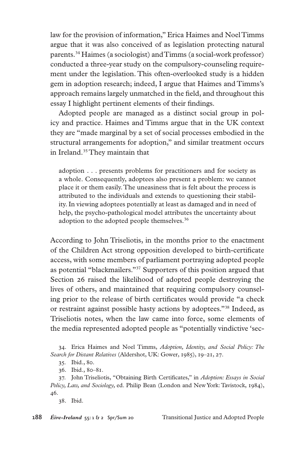law for the provision of information," Erica Haimes and Noel Timms argue that it was also conceived of as legislation protecting natural parents.34 Haimes (a sociologist) and Timms (a social-work professor) conducted a three-year study on the compulsory-counseling requirement under the legislation. This often-overlooked study is a hidden gem in adoption research; indeed, I argue that Haimes and Timms's approach remains largely unmatched in the field, and throughout this essay I highlight pertinent elements of their findings.

Adopted people are managed as a distinct social group in policy and practice. Haimes and Timms argue that in the UK context they are "made marginal by a set of social processes embodied in the structural arrangements for adoption," and similar treatment occurs in Ireland.35 They maintain that

adoption . . . presents problems for practitioners and for society as a whole. Consequently, adoptees also present a problem: we cannot place it or them easily. The uneasiness that is felt about the process is attributed to the individuals and extends to questioning their stability. In viewing adoptees potentially at least as damaged and in need of help, the psycho-pathological model attributes the uncertainty about adoption to the adopted people themselves.<sup>36</sup>

According to John Triseliotis, in the months prior to the enactment of the Children Act strong opposition developed to birth-certificate access, with some members of parliament portraying adopted people as potential "blackmailers."37 Supporters of this position argued that Section 26 raised the likelihood of adopted people destroying the lives of others, and maintained that requiring compulsory counseling prior to the release of birth certificates would provide "a check or restraint against possible hasty actions by adoptees."38 Indeed, as Triseliotis notes, when the law came into force, some elements of the media represented adopted people as "potentially vindictive 'sec-

. Erica Haimes and Noel Timms, *Adoption, Identity, and Social Policy: The Search for Distant Relatives* (Aldershot, UK: Gower, 1985), 19–21, 27.

38. Ibid.

<sup>.</sup> Ibid., 80.

<sup>.</sup> Ibid., 80–81.

<sup>.</sup> John Triseliotis, "Obtaining Birth Certificates," in *Adoption: Essays in Social Policy, Law, and Sociology,* ed. Philip Bean (London and New York: Tavistock, 1984), 46.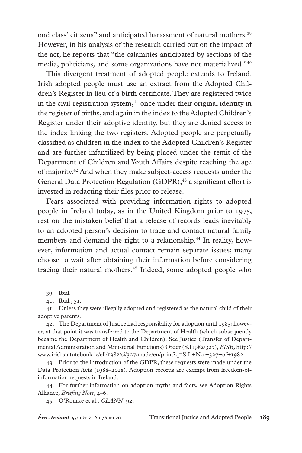ond class' citizens" and anticipated harassment of natural mothers.<sup>39</sup> However, in his analysis of the research carried out on the impact of the act, he reports that "the calamities anticipated by sections of the media, politicians, and some organizations have not materialized."40

This divergent treatment of adopted people extends to Ireland. Irish adopted people must use an extract from the Adopted Children's Register in lieu of a birth certificate. They are registered twice in the civil-registration system, $41$  once under their original identity in the register of births, and again in the index to the Adopted Children's Register under their adoptive identity, but they are denied access to the index linking the two registers. Adopted people are perpetually classified as children in the index to the Adopted Children's Register and are further infantilized by being placed under the remit of the Department of Children and Youth Affairs despite reaching the age of majority.42 And when they make subject-access requests under the General Data Protection Regulation (GDPR),<sup>43</sup> a significant effort is invested in redacting their files prior to release.

Fears associated with providing information rights to adopted people in Ireland today, as in the United Kingdom prior to 1975, rest on the mistaken belief that a release of records leads inevitably to an adopted person's decision to trace and contact natural family members and demand the right to a relationship.<sup>44</sup> In reality, however, information and actual contact remain separate issues; many choose to wait after obtaining their information before considering tracing their natural mothers.<sup>45</sup> Indeed, some adopted people who

39. Ibid.

. Ibid., 51.

. Unless they were illegally adopted and registered as the natural child of their adoptive parents.

. The Department of Justice had responsibility for adoption until 1983; however, at that point it was transferred to the Department of Health (which subsequently became the Department of Health and Children). See Justice (Transfer of Departmental Administration and Ministerial Functions) Order (S.I1982/327), *EISB*, http:// www.irishstatutebook.ie/eli/1982/si/327/made/en/print?q=S.I.+No.+327+of+1982.

. Prior to the introduction of the GDPR, these requests were made under the Data Protection Acts (1988–2018). Adoption records are exempt from freedom-ofinformation requests in Ireland.

. For further information on adoption myths and facts, see Adoption Rights Alliance, *Briefing Note*, 4–6.

. O'Rourke et al.*, CLANN*, 92.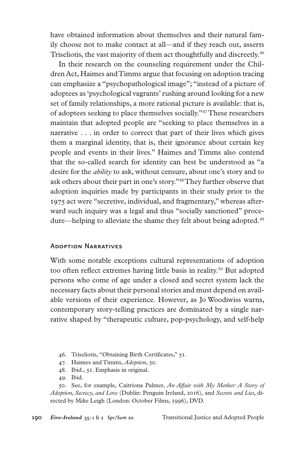have obtained information about themselves and their natural family choose not to make contact at all—and if they reach out, asserts Triseliotis, the vast majority of them act thoughtfully and discreetly.<sup>46</sup>

In their research on the counseling requirement under the Children Act, Haimes and Timms argue that focusing on adoption tracing can emphasize a "psychopathological image"; "instead of a picture of adoptees as 'psychological vagrants' rushing around looking for a new set of family relationships, a more rational picture is available: that is, of adoptees seeking to place themselves socially."47 These researchers maintain that adopted people are "seeking to place themselves in a narrative . . . in order to correct that part of their lives which gives them a marginal identity, that is, their ignorance about certain key people and events in their lives." Haimes and Timms also contend that the so-called search for identity can best be understood as "a desire for the *ability* to ask, without censure, about one's story and to ask others about their part in one's story."48 They further observe that adoption inquiries made by participants in their study prior to the 1975 act were "secretive, individual, and fragmentary," whereas afterward such inquiry was a legal and thus "socially sanctioned" procedure—helping to alleviate the shame they felt about being adopted.<sup>49</sup>

#### Adoption Narratives

With some notable exceptions cultural representations of adoption too often reflect extremes having little basis in reality.<sup>50</sup> But adopted persons who come of age under a closed and secret system lack the necessary facts about their personal stories and must depend on available versions of their experience. However, as Jo Woodiwiss warns, contemporary story-telling practices are dominated by a single narrative shaped by "therapeutic culture, pop-psychology, and self-help

. Triseliotis, "Obtaining Birth Certificates," 51.

- . Haimes and Timms, *Adoption*, 50.
- . Ibid., 51. Emphasis in original.
- 49. Ibid.

. See, for example, Caitríona Palmer, *An Affair with My Mother: A Story of Adoption, Secrecy, and Love* (Dublin: Penguin Ireland, 2016), and *Secrets and Lies,* directed by Mike Leigh (London: October Films, 1996), DVD.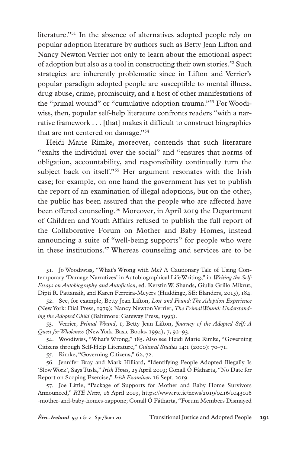literature."<sup>51</sup> In the absence of alternatives adopted people rely on popular adoption literature by authors such as Betty Jean Lifton and Nancy Newton Verrier not only to learn about the emotional aspect of adoption but also as a tool in constructing their own stories.<sup>52</sup> Such strategies are inherently problematic since in Lifton and Verrier's popular paradigm adopted people are susceptible to mental illness, drug abuse, crime, promiscuity, and a host of other manifestations of the "primal wound" or "cumulative adoption trauma."53 For Woodiwiss, then, popular self-help literature confronts readers "with a narrative framework . . . [that] makes it difficult to construct biographies that are not centered on damage."<sup>54</sup>

Heidi Marie Rimke, moreover, contends that such literature "exalts the individual over the social" and "ensures that norms of obligation, accountability, and responsibility continually turn the subject back on itself."<sup>55</sup> Her argument resonates with the Irish case; for example, on one hand the government has yet to publish the report of an examination of illegal adoptions, but on the other, the public has been assured that the people who are affected have been offered counseling.<sup>56</sup> Moreover, in April 2019 the Department of Children and Youth Affairs refused to publish the full report of the Collaborative Forum on Mother and Baby Homes, instead announcing a suite of "well-being supports" for people who were in these institutions.57 Whereas counseling and services are to be

. Jo Woodiwiss, "What's Wrong with Me? A Cautionary Tale of Using Contemporary 'Damage Narratives' in Autobiographical Life Writing," in *Writing the Self: Essays on Autobiography and Autofiction,* ed. Kerstin W. Shands, Giulia Grillo Mikrut, Dipti R. Pattanaik, and Karen Ferreira-Meyers (Huddinge, SE: Elanders, 2015), 184.

. See, for example, Betty Jean Lifton, *Lost and Found: The Adoption Experience* (New York: Dial Press, 1979); Nancy Newton Verrier, *The Primal Wound: Understanding the Adopted Child* (Baltimore: Gateway Press, 1993).

. Verrier, *Primal Wound*, 1; Betty Jean Lifton, *Journey of the Adopted Self: A Quest for Wholeness* (New York: Basic Books, 1994), 7, 92–93.

. Woodiwiss, "What's Wrong," 185. Also see Heidi Marie Rimke, "Governing Citizens through Self-Help Literature," *Cultural Studies* 14:1 (2000): 70–71.

. Rimke, "Governing Citizens," 62, 72.

. Jennifer Bray and Mark Hilliard, "Identifying People Adopted Illegally Is 'Slow Work', Says Tusla," *Irish Times*, 25 April 2019; Conall Ó Fátharta, "No Date for Report on Scoping Exercise," *Irish Examiner*, 16 Sept. 2019.

. Joe Little, "Package of Supports for Mother and Baby Home Survivors Announced," *RTÉ News,* 16 April 2019, https://www.rte.ie/news/2019/0416/1043016 -mother-and-baby-homes-zappone; Conall Ó Fátharta, "Forum Members Dismayed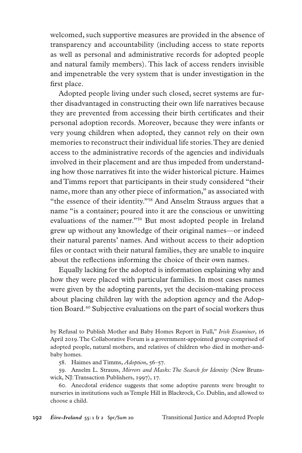welcomed, such supportive measures are provided in the absence of transparency and accountability (including access to state reports as well as personal and administrative records for adopted people and natural family members). This lack of access renders invisible and impenetrable the very system that is under investigation in the first place.

Adopted people living under such closed, secret systems are further disadvantaged in constructing their own life narratives because they are prevented from accessing their birth certificates and their personal adoption records. Moreover, because they were infants or very young children when adopted, they cannot rely on their own memories to reconstruct their individual life stories. They are denied access to the administrative records of the agencies and individuals involved in their placement and are thus impeded from understanding how those narratives fit into the wider historical picture. Haimes and Timms report that participants in their study considered "their name, more than any other piece of information," as associated with "the essence of their identity."58 And Anselm Strauss argues that a name "is a container; poured into it are the conscious or unwitting evaluations of the namer."59 But most adopted people in Ireland grew up without any knowledge of their original names—or indeed their natural parents' names. And without access to their adoption files or contact with their natural families, they are unable to inquire about the reflections informing the choice of their own names.

Equally lacking for the adopted is information explaining why and how they were placed with particular families. In most cases names were given by the adopting parents, yet the decision-making process about placing children lay with the adoption agency and the Adoption Board.<sup>60</sup> Subjective evaluations on the part of social workers thus

. Haimes and Timms, *Adoption*, 56–57.

. Anselm L. Strauss, *Mirrors and Masks: The Search for Identity* (New Brunswick, NJ: Transaction Publishers, 1997), 17.

. Anecdotal evidence suggests that some adoptive parents were brought to nurseries in institutions such as Temple Hill in Blackrock, Co. Dublin, and allowed to choose a child.

by Refusal to Publish Mother and Baby Homes Report in Full," *Irish Examiner*, 16 April 2019. The Collaborative Forum is a government-appointed group comprised of adopted people, natural mothers, and relatives of children who died in mother-andbaby homes.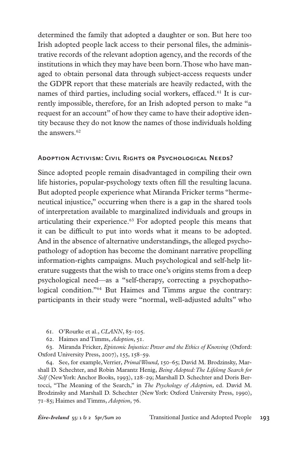determined the family that adopted a daughter or son. But here too Irish adopted people lack access to their personal files, the administrative records of the relevant adoption agency, and the records of the institutions in which they may have been born. Those who have managed to obtain personal data through subject-access requests under the GDPR report that these materials are heavily redacted, with the names of third parties, including social workers, effaced.<sup>61</sup> It is currently impossible, therefore, for an Irish adopted person to make "a request for an account" of how they came to have their adoptive identity because they do not know the names of those individuals holding the answers.<sup>62</sup>

# Adoption Activism: Civil Rights or Psychological Needs?

Since adopted people remain disadvantaged in compiling their own life histories, popular-psychology texts often fill the resulting lacuna. But adopted people experience what Miranda Fricker terms "hermeneutical injustice," occurring when there is a gap in the shared tools of interpretation available to marginalized individuals and groups in articulating their experience.<sup>63</sup> For adopted people this means that it can be difficult to put into words what it means to be adopted. And in the absence of alternative understandings, the alleged psychopathology of adoption has become the dominant narrative propelling information-rights campaigns. Much psychological and self-help literature suggests that the wish to trace one's origins stems from a deep psychological need—as a "self-therapy, correcting a psychopathological condition."<sup>64</sup> But Haimes and Timms argue the contrary: participants in their study were "normal, well-adjusted adults" who

- . O'Rourke et al., *CLANN*, 85–105.
- . Haimes and Timms, *Adoption*, 51.

. Miranda Fricker, *Epistemic Injustice: Power and the Ethics of Knowing* (Oxford: Oxford University Press, 2007), 155, 158–59.

. See, for example, Verrier, *Primal Wound,* 150–65; David M. Brodzinsky, Marshall D. Schechter, and Robin Marantz Henig, *Being Adopted: The Lifelong Search for Self* (New York: Anchor Books, 1993), 128–29; Marshall D. Schechter and Doris Bertocci, "The Meaning of the Search," in *The Psychology of Adoption,* ed. David M. Brodzinsky and Marshall D. Schechter (New York: Oxford University Press, 1990), 71–85; Haimes and Timms, *Adoption*, 76.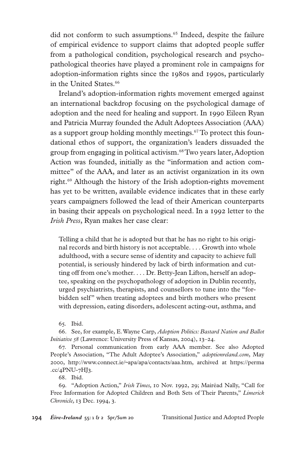did not conform to such assumptions.<sup>65</sup> Indeed, despite the failure of empirical evidence to support claims that adopted people suffer from a pathological condition, psychological research and psychopathological theories have played a prominent role in campaigns for adoption-information rights since the 1980s and 1990s, particularly in the United States.<sup>66</sup>

Ireland's adoption-information rights movement emerged against an international backdrop focusing on the psychological damage of adoption and the need for healing and support. In 1990 Eileen Ryan and Patricia Murray founded the Adult Adoptees Association (AAA) as a support group holding monthly meetings.<sup>67</sup> To protect this foundational ethos of support, the organization's leaders dissuaded the group from engaging in political activism.68 Two years later, Adoption Action was founded, initially as the "information and action committee" of the AAA, and later as an activist organization in its own right.<sup>69</sup> Although the history of the Irish adoption-rights movement has yet to be written, available evidence indicates that in these early years campaigners followed the lead of their American counterparts in basing their appeals on psychological need. In a 1992 letter to the *Irish Press*, Ryan makes her case clear:

Telling a child that he is adopted but that he has no right to his original records and birth history is not acceptable. . . . Growth into whole adulthood, with a secure sense of identity and capacity to achieve full potential, is seriously hindered by lack of birth information and cutting off from one's mother. . . . Dr. Betty-Jean Lifton, herself an adoptee, speaking on the psychopathology of adoption in Dublin recently, urged psychiatrists, therapists, and counsellors to tune into the "forbidden self" when treating adoptees and birth mothers who present with depression, eating disorders, adolescent acting-out, asthma, and

. Ibid.

. See, for example, E. Wayne Carp, *Adoption Politics: Bastard Nation and Ballot Initiative 58* (Lawrence: University Press of Kansas, 2004), 13–24.

. Personal communication from early AAA member. See also Adopted People's Association, "The Adult Adoptee's Association," *adoptionreland.com*, May 2000, http://www.connect.ie/~apa/apa/contacts/aaa.htm, archived at https://perma  $\text{c}c/4$ PNU-7HJ3.

. Ibid.

. "Adoption Action," *Irish Times,* 10 Nov. 1992, 29; Mairéad Nally, "Call for Free Information for Adopted Children and Both Sets of Their Parents," *Limerick Chronicle,* 13 Dec. 1994, 3.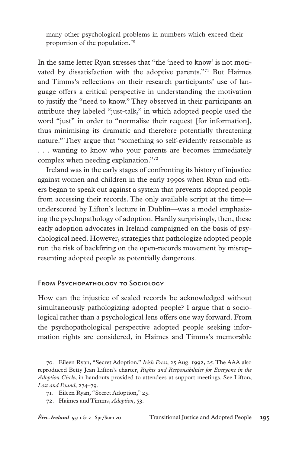many other psychological problems in numbers which exceed their proportion of the population*.* 70

In the same letter Ryan stresses that "the 'need to know' is not motivated by dissatisfaction with the adoptive parents."71 But Haimes and Timms's reflections on their research participants' use of language offers a critical perspective in understanding the motivation to justify the "need to know." They observed in their participants an attribute they labeled "just-talk," in which adopted people used the word "just" in order to "normalise their request [for information], thus minimising its dramatic and therefore potentially threatening nature." They argue that "something so self-evidently reasonable as . . . wanting to know who your parents are becomes immediately complex when needing explanation."72

Ireland was in the early stages of confronting its history of injustice against women and children in the early 1990s when Ryan and others began to speak out against a system that prevents adopted people from accessing their records. The only available script at the time underscored by Lifton's lecture in Dublin—was a model emphasizing the psychopathology of adoption. Hardly surprisingly, then, these early adoption advocates in Ireland campaigned on the basis of psychological need. However, strategies that pathologize adopted people run the risk of backfiring on the open-records movement by misrepresenting adopted people as potentially dangerous.

# From Psychopathology to Sociology

How can the injustice of sealed records be acknowledged without simultaneously pathologizing adopted people? I argue that a sociological rather than a psychological lens offers one way forward. From the psychopathological perspective adopted people seeking information rights are considered, in Haimes and Timms's memorable

. Eileen Ryan, "Secret Adoption," *Irish Press,* 25 Aug. 1992, 25. The AAA also reproduced Betty Jean Lifton's charter, *Rights and Responsibilities for Everyone in the Adoption Circle*, in handouts provided to attendees at support meetings. See Lifton, *Lost and Found*, 274–79.

<sup>.</sup> Eileen Ryan, "Secret Adoption," 25.

<sup>.</sup> Haimes and Timms, *Adoption*, 53.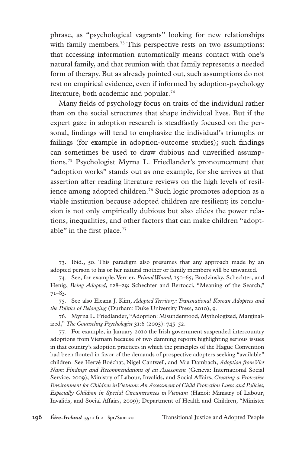phrase, as "psychological vagrants" looking for new relationships with family members.<sup>73</sup> This perspective rests on two assumptions: that accessing information automatically means contact with one's natural family, and that reunion with that family represents a needed form of therapy. But as already pointed out, such assumptions do not rest on empirical evidence, even if informed by adoption-psychology literature, both academic and popular.<sup>74</sup>

Many fields of psychology focus on traits of the individual rather than on the social structures that shape individual lives. But if the expert gaze in adoption research is steadfastly focused on the personal, findings will tend to emphasize the individual's triumphs or failings (for example in adoption-outcome studies); such findings can sometimes be used to draw dubious and unverified assumptions.75 Psychologist Myrna L. Friedlander's pronouncement that "adoption works" stands out as one example, for she arrives at that assertion after reading literature reviews on the high levels of resilience among adopted children.76 Such logic promotes adoption as a viable institution because adopted children are resilient; its conclusion is not only empirically dubious but also elides the power relations, inequalities, and other factors that can make children "adoptable" in the first place.<sup>77</sup>

. Ibid., 50. This paradigm also presumes that any approach made by an adopted person to his or her natural mother or family members will be unwanted.

. See, for example, Verrier, *Primal Wound,* 150–65; Brodzinsky, Schechter, and Henig, *Being Adopted*, 128–29; Schechter and Bertocci, "Meaning of the Search," 71–85.

. See also Eleana J. Kim, *Adopted Territory: Transnational Korean Adoptees and the Politics of Belonging* (Durham: Duke University Press, 2010), 9.

. Myrna L. Friedlander, "Adoption: Misunderstood, Mythologized, Marginalized," *The Counseling Psychologist* 31:6 (2003): 745–52.

. For example, in January 2010 the Irish government suspended intercountry adoptions from Vietnam because of two damning reports highlighting serious issues in that country's adoption practices in which the principles of the Hague Convention had been flouted in favor of the demands of prospective adopters seeking "available" children. See Hervé Boéchat, Nigel Cantwell, and Mia Dambach, *Adoption from Viet Nam: Findings and Recommendations of an Assessment* (Geneva: International Social Service, 2009); Ministry of Labour, Invalids, and Social Affairs, *Creating a Protective Environment for Children in Vietnam: An Assessment of Child Protection Laws and Policies, Especially Children in Special Circumstances in Vietnam* (Hanoi: Ministry of Labour, Invalids, and Social Affairs, 2009); Department of Health and Children, "Minister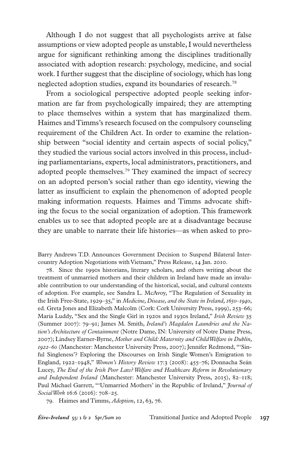Although I do not suggest that all psychologists arrive at false assumptions or view adopted people as unstable, I would nevertheless argue for significant rethinking among the disciplines traditionally associated with adoption research: psychology, medicine, and social work. I further suggest that the discipline of sociology, which has long neglected adoption studies, expand its boundaries of research.<sup>78</sup>

From a sociological perspective adopted people seeking information are far from psychologically impaired; they are attempting to place themselves within a system that has marginalized them. Haimes and Timms's research focused on the compulsory counseling requirement of the Children Act. In order to examine the relationship between "social identity and certain aspects of social policy," they studied the various social actors involved in this process, including parliamentarians, experts, local administrators, practitioners, and adopted people themselves.<sup>79</sup> They examined the impact of secrecy on an adopted person's social rather than ego identity, viewing the latter as insufficient to explain the phenomenon of adopted people making information requests. Haimes and Timms advocate shifting the focus to the social organization of adoption. This framework enables us to see that adopted people are at a disadvantage because they are unable to narrate their life histories—as when asked to pro-

Barry Andrews T.D. Announces Government Decision to Suspend Bilateral Intercountry Adoption Negotiations with Vietnam," Press Release, 14 Jan. 2010.

. Since the 1990s historians, literary scholars, and others writing about the treatment of unmarried mothers and their children in Ireland have made an invaluable contribution to our understanding of the historical, social, and cultural contexts of adoption. For example, see Sandra L. McAvoy, "The Regulation of Sexuality in the Irish Free-State, 1929–35," in *Medicine, Disease, and the State in Ireland, 1650–1940*, ed. Greta Jones and Elizabeth Malcolm (Cork: Cork University Press, 1999), 253–66; Maria Luddy, "Sex and the Single Girl in 1920s and 1930s Ireland," *Irish Review* 35 (Summer 2007): 79–91; James M. Smith, *Ireland's Magdalen Laundries and the Nation's Architecture of Containment* (Notre Dame, IN: University of Notre Dame Press, 2007); Lindsey Earner-Byrne, *Mother and Child: Maternity and Child Welfare in Dublin, 1922–60* (Manchester: Manchester University Press, 2007); Jennifer Redmond, "'Sinful Singleness'? Exploring the Discourses on Irish Single Women's Emigration to England, 1922–1948," *Women's History Review* 17:3 (2008): 455–76; Donnacha Seán Lucey, *The End of the Irish Poor Law? Welfare and Healthcare Reform in Revolutionary and Independent Ireland* (Manchester: Manchester University Press, 2015), 82–118; Paul Michael Garrett, "'Unmarried Mothers' in the Republic of Ireland," *Journal of Social Work* 16:6 (2016): 708–25.

. Haimes and Timms, *Adoption*, 12, 63, 76.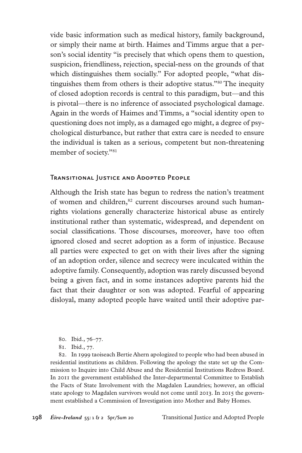vide basic information such as medical history, family background, or simply their name at birth. Haimes and Timms argue that a person's social identity "is precisely that which opens them to question, suspicion, friendliness, rejection, special-ness on the grounds of that which distinguishes them socially." For adopted people, "what distinguishes them from others is their adoptive status."80 The inequity of closed adoption records is central to this paradigm, but—and this is pivotal—there is no inference of associated psychological damage. Again in the words of Haimes and Timms, a "social identity open to questioning does not imply, as a damaged ego might, a degree of psychological disturbance, but rather that extra care is needed to ensure the individual is taken as a serious, competent but non-threatening member of society."81

# Transitional Justice and Adopted People

Although the Irish state has begun to redress the nation's treatment of women and children,<sup>82</sup> current discourses around such humanrights violations generally characterize historical abuse as entirely institutional rather than systematic, widespread, and dependent on social classifications. Those discourses, moreover, have too often ignored closed and secret adoption as a form of injustice. Because all parties were expected to get on with their lives after the signing of an adoption order, silence and secrecy were inculcated within the adoptive family. Consequently, adoption was rarely discussed beyond being a given fact, and in some instances adoptive parents hid the fact that their daughter or son was adopted. Fearful of appearing disloyal, many adopted people have waited until their adoptive par-

- . Ibid., 76–77.
- . Ibid., 77.

. In 1999 taoiseach Bertie Ahern apologized to people who had been abused in residential institutions as children. Following the apology the state set up the Commission to Inquire into Child Abuse and the Residential Institutions Redress Board. In 2011 the government established the Inter-departmental Committee to Establish the Facts of State Involvement with the Magdalen Laundries; however, an official state apology to Magdalen survivors would not come until 2013. In 2015 the government established a Commission of Investigation into Mother and Baby Homes.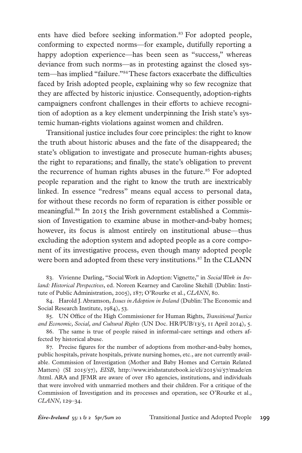ents have died before seeking information.<sup>83</sup> For adopted people, conforming to expected norms—for example, dutifully reporting a happy adoption experience—has been seen as "success," whereas deviance from such norms—as in protesting against the closed system—has implied "failure."84 These factors exacerbate the difficulties faced by Irish adopted people, explaining why so few recognize that they are affected by historic injustice. Consequently, adoption-rights campaigners confront challenges in their efforts to achieve recognition of adoption as a key element underpinning the Irish state's systemic human-rights violations against women and children.

Transitional justice includes four core principles: the right to know the truth about historic abuses and the fate of the disappeared; the state's obligation to investigate and prosecute human-rights abuses; the right to reparations; and finally, the state's obligation to prevent the recurrence of human rights abuses in the future.<sup>85</sup> For adopted people reparation and the right to know the truth are inextricably linked. In essence "redress" means equal access to personal data, for without these records no form of reparation is either possible or meaningful.86 In 2015 the Irish government established a Commission of Investigation to examine abuse in mother-and-baby homes; however, its focus is almost entirely on institutional abuse—thus excluding the adoption system and adopted people as a core component of its investigative process, even though many adopted people were born and adopted from these very institutions.<sup>87</sup> In the CLANN

. Vivienne Darling, "Social Work in Adoption: Vignette," in *Social Work in Ireland: Historical Perspectives*, ed. Noreen Kearney and Caroline Skehill (Dublin: Institute of Public Administration, 2005), 187; O'Rourke et al., *CLANN*, 80.

. Harold J. Abramson, *Issues in Adoption in Ireland* (Dublin: The Economic and Social Research Institute, 1984), 53.

. UN Office of the High Commissioner for Human Rights, *Transitional Justice and Economic, Social, and Cultural Rights* (UN Doc. HR/PUB/13/5, 11 April 2014), 5.

. The same is true of people raised in informal-care settings and others affected by historical abuse.

. Precise figures for the number of adoptions from mother-and-baby homes, public hospitals, private hospitals, private nursing homes, etc., are not currently available. Commission of Investigation (Mother and Baby Homes and Certain Related Matters) (SI 2015/57), *EISB*, http://www.irishstatutebook.ie/eli/2015/si/57/made/en /html. ARA and JFMR are aware of over 180 agencies, institutions, and individuals that were involved with unmarried mothers and their children. For a critique of the Commission of Investigation and its processes and operation, see O'Rourke et al., *CLANN*, 129–34.